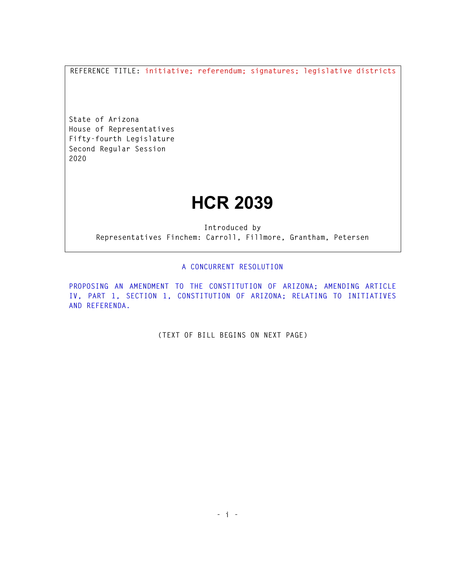**REFERENCE TITLE: initiative; referendum; signatures; legislative districts** 

**State of Arizona House of Representatives Fifty-fourth Legislature Second Regular Session 2020** 

## **HCR 2039**

**Introduced by Representatives Finchem: Carroll, Fillmore, Grantham, Petersen** 

## **A CONCURRENT RESOLUTION**

**PROPOSING AN AMENDMENT TO THE CONSTITUTION OF ARIZONA; AMENDING ARTICLE IV, PART 1, SECTION 1, CONSTITUTION OF ARIZONA; RELATING TO INITIATIVES AND REFERENDA.** 

**(TEXT OF BILL BEGINS ON NEXT PAGE)**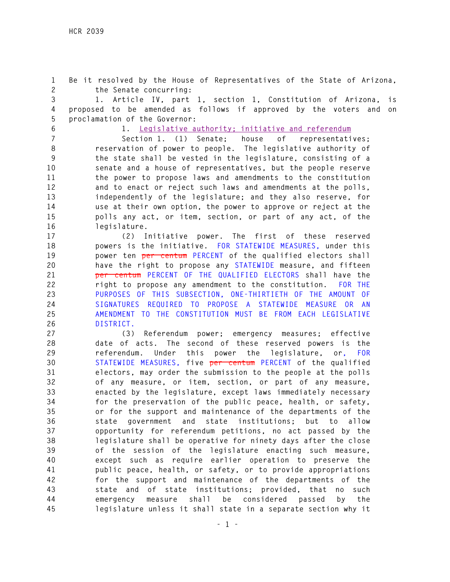**1 Be it resolved by the House of Representatives of the State of Arizona, 2 the Senate concurring: 3 1. Article IV, part 1, section 1, Constitution of Arizona, is 4 proposed to be amended as follows if approved by the voters and on 5 proclamation of the Governor: 6 1. Legislative authority; initiative and referendum 7 Section 1. (1) Senate; house of representatives; 8 reservation of power to people. The legislative authority of 9 the state shall be vested in the legislature, consisting of a 10 senate and a house of representatives, but the people reserve 11 the power to propose laws and amendments to the constitution 12 and to enact or reject such laws and amendments at the polls, 13 independently of the legislature; and they also reserve, for 14 use at their own option, the power to approve or reject at the 15 polls any act, or item, section, or part of any act, of the 16 legislature. 17 (2) Initiative power. The first of these reserved 18 powers is the initiative. FOR STATEWIDE MEASURES, under this 19 power ten per centum PERCENT of the qualified electors shall 20 have the right to propose any STATEWIDE measure, and fifteen 21 per centum PERCENT OF THE QUALIFIED ELECTORS shall have the 22 right to propose any amendment to the constitution. FOR THE 23 PURPOSES OF THIS SUBSECTION, ONE-THIRTIETH OF THE AMOUNT OF 24 SIGNATURES REQUIRED TO PROPOSE A STATEWIDE MEASURE OR AN 25 AMENDMENT TO THE CONSTITUTION MUST BE FROM EACH LEGISLATIVE 26 DISTRICT. 27 (3) Referendum power; emergency measures; effective 28 date of acts. The second of these reserved powers is the 29 referendum. Under this power the legislature, or, FOR 30 STATEWIDE MEASURES, five per centum PERCENT of the qualified 31 electors, may order the submission to the people at the polls 32 of any measure, or item, section, or part of any measure, 33 enacted by the legislature, except laws immediately necessary 34 for the preservation of the public peace, health, or safety, 35 or for the support and maintenance of the departments of the 36 state government and state institutions; but to allow 37 opportunity for referendum petitions, no act passed by the 38 legislature shall be operative for ninety days after the close 39 of the session of the legislature enacting such measure, 40 except such as require earlier operation to preserve the 41 public peace, health, or safety, or to provide appropriations 42 for the support and maintenance of the departments of the 43 state and of state institutions; provided, that no such 44 emergency measure shall be considered passed by the 45 legislature unless it shall state in a separate section why it**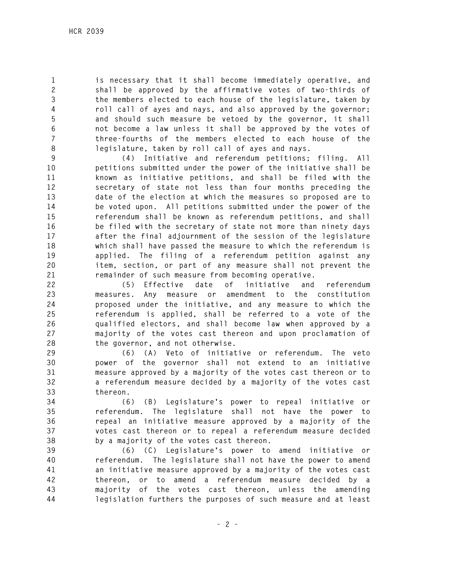**1 is necessary that it shall become immediately operative, and 2 shall be approved by the affirmative votes of two-thirds of 3 the members elected to each house of the legislature, taken by 4 roll call of ayes and nays, and also approved by the governor; 5 and should such measure be vetoed by the governor, it shall 6 not become a law unless it shall be approved by the votes of 7 three-fourths of the members elected to each house of the 8 legislature, taken by roll call of ayes and nays.** 

**9 (4) Initiative and referendum petitions; filing. All 10 petitions submitted under the power of the initiative shall be 11 known as initiative petitions, and shall be filed with the 12 secretary of state not less than four months preceding the 13 date of the election at which the measures so proposed are to 14 be voted upon. All petitions submitted under the power of the 15 referendum shall be known as referendum petitions, and shall 16 be filed with the secretary of state not more than ninety days 17 after the final adjournment of the session of the legislature 18 which shall have passed the measure to which the referendum is 19 applied. The filing of a referendum petition against any 20 item, section, or part of any measure shall not prevent the 21 remainder of such measure from becoming operative.** 

**22 (5) Effective date of initiative and referendum 23 measures. Any measure or amendment to the constitution 24 proposed under the initiative, and any measure to which the 25 referendum is applied, shall be referred to a vote of the 26 qualified electors, and shall become law when approved by a 27 majority of the votes cast thereon and upon proclamation of 28 the governor, and not otherwise.** 

**29 (6) (A) Veto of initiative or referendum. The veto 30 power of the governor shall not extend to an initiative 31 measure approved by a majority of the votes cast thereon or to 32 a referendum measure decided by a majority of the votes cast 33 thereon.** 

**34 (6) (B) Legislature's power to repeal initiative or 35 referendum. The legislature shall not have the power to 36 repeal an initiative measure approved by a majority of the 37 votes cast thereon or to repeal a referendum measure decided 38 by a majority of the votes cast thereon.** 

**39 (6) (C) Legislature's power to amend initiative or 40 referendum. The legislature shall not have the power to amend 41 an initiative measure approved by a majority of the votes cast 42 thereon, or to amend a referendum measure decided by a 43 majority of the votes cast thereon, unless the amending 44 legislation furthers the purposes of such measure and at least**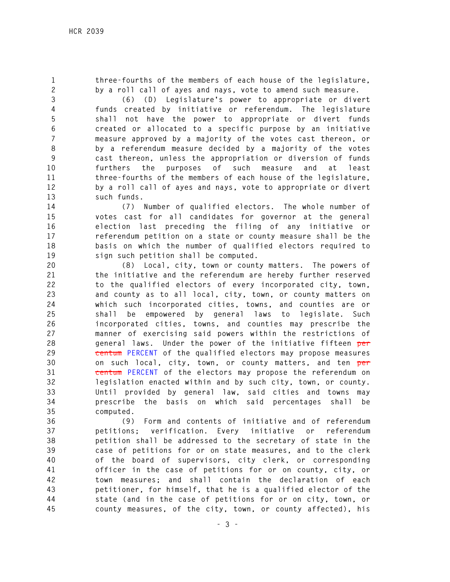**1 three-fourths of the members of each house of the legislature, 2 by a roll call of ayes and nays, vote to amend such measure.** 

**3 (6) (D) Legislature's power to appropriate or divert 4 funds created by initiative or referendum. The legislature 5 shall not have the power to appropriate or divert funds 6 created or allocated to a specific purpose by an initiative 7 measure approved by a majority of the votes cast thereon, or 8 by a referendum measure decided by a majority of the votes 9 cast thereon, unless the appropriation or diversion of funds 10 furthers the purposes of such measure and at least 11 three-fourths of the members of each house of the legislature, 12 by a roll call of ayes and nays, vote to appropriate or divert 13 such funds.** 

**14 (7) Number of qualified electors. The whole number of 15 votes cast for all candidates for governor at the general 16 election last preceding the filing of any initiative or 17 referendum petition on a state or county measure shall be the 18 basis on which the number of qualified electors required to 19 sign such petition shall be computed.** 

**20 (8) Local, city, town or county matters. The powers of 21 the initiative and the referendum are hereby further reserved 22 to the qualified electors of every incorporated city, town, 23 and county as to all local, city, town, or county matters on 24 which such incorporated cities, towns, and counties are or 25 shall be empowered by general laws to legislate. Such 26 incorporated cities, towns, and counties may prescribe the 27 manner of exercising said powers within the restrictions of 28 general laws. Under the power of the initiative fifteen per 29 centum PERCENT of the qualified electors may propose measures 30 on such local, city, town, or county matters, and ten per 31 centum PERCENT of the electors may propose the referendum on 32 legislation enacted within and by such city, town, or county. 33 Until provided by general law, said cities and towns may 34 prescribe the basis on which said percentages shall be 35 computed.** 

**36 (9) Form and contents of initiative and of referendum 37 petitions; verification. Every initiative or referendum 38 petition shall be addressed to the secretary of state in the 39 case of petitions for or on state measures, and to the clerk 40 of the board of supervisors, city clerk, or corresponding 41 officer in the case of petitions for or on county, city, or 42 town measures; and shall contain the declaration of each 43 petitioner, for himself, that he is a qualified elector of the 44 state (and in the case of petitions for or on city, town, or 45 county measures, of the city, town, or county affected), his**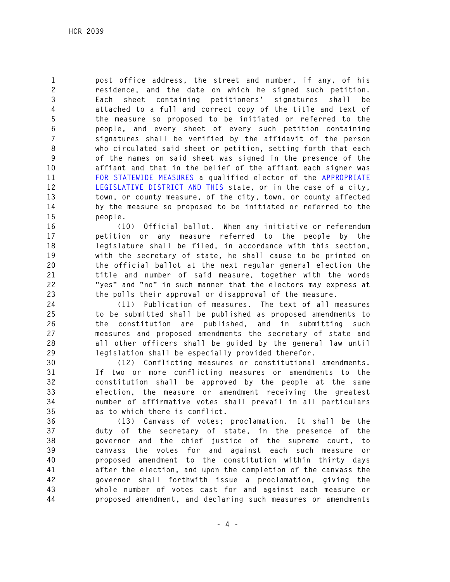**1 post office address, the street and number, if any, of his 2 residence, and the date on which he signed such petition. 3 Each sheet containing petitioners' signatures shall be 4 attached to a full and correct copy of the title and text of 5 the measure so proposed to be initiated or referred to the 6 people, and every sheet of every such petition containing 7 signatures shall be verified by the affidavit of the person 8 who circulated said sheet or petition, setting forth that each 9 of the names on said sheet was signed in the presence of the 10 affiant and that in the belief of the affiant each signer was 11 FOR STATEWIDE MEASURES a qualified elector of the APPROPRIATE 12 LEGISLATIVE DISTRICT AND THIS state, or in the case of a city, 13 town, or county measure, of the city, town, or county affected 14 by the measure so proposed to be initiated or referred to the 15 people.** 

**16 (10) Official ballot. When any initiative or referendum 17 petition or any measure referred to the people by the 18 legislature shall be filed, in accordance with this section, 19 with the secretary of state, he shall cause to be printed on 20 the official ballot at the next regular general election the 21 title and number of said measure, together with the words 22 "yes" and "no" in such manner that the electors may express at 23 the polls their approval or disapproval of the measure.** 

**24 (11) Publication of measures. The text of all measures 25 to be submitted shall be published as proposed amendments to 26 the constitution are published, and in submitting such 27 measures and proposed amendments the secretary of state and 28 all other officers shall be guided by the general law until 29 legislation shall be especially provided therefor.** 

**30 (12) Conflicting measures or constitutional amendments. 31 If two or more conflicting measures or amendments to the 32 constitution shall be approved by the people at the same 33 election, the measure or amendment receiving the greatest 34 number of affirmative votes shall prevail in all particulars 35 as to which there is conflict.** 

**36 (13) Canvass of votes; proclamation. It shall be the 37 duty of the secretary of state, in the presence of the 38 governor and the chief justice of the supreme court, to 39 canvass the votes for and against each such measure or 40 proposed amendment to the constitution within thirty days 41 after the election, and upon the completion of the canvass the 42 governor shall forthwith issue a proclamation, giving the 43 whole number of votes cast for and against each measure or 44 proposed amendment, and declaring such measures or amendments**